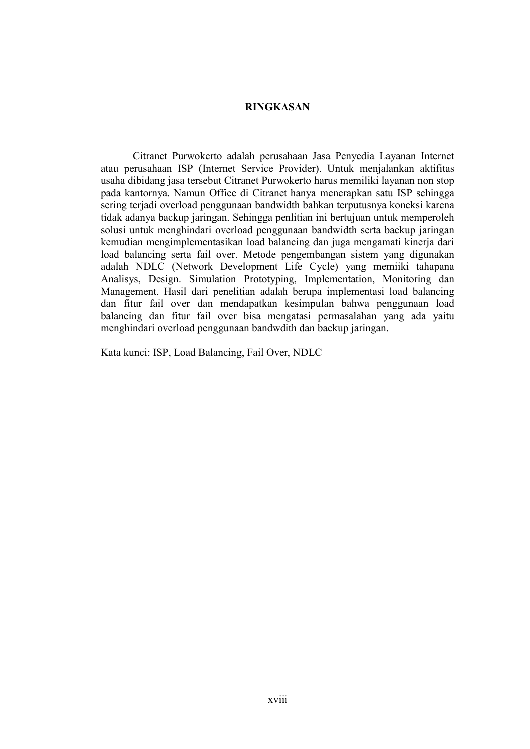## **RINGKASAN**

Citranet Purwokerto adalah perusahaan Jasa Penyedia Layanan Internet atau perusahaan ISP (Internet Service Provider). Untuk menjalankan aktifitas usaha dibidang jasa tersebut Citranet Purwokerto harus memiliki layanan non stop pada kantornya. Namun Office di Citranet hanya menerapkan satu ISP sehingga sering terjadi overload penggunaan bandwidth bahkan terputusnya koneksi karena tidak adanya backup jaringan. Sehingga penlitian ini bertujuan untuk memperoleh solusi untuk menghindari overload penggunaan bandwidth serta backup jaringan kemudian mengimplementasikan load balancing dan juga mengamati kinerja dari load balancing serta fail over. Metode pengembangan sistem yang digunakan adalah NDLC (Network Development Life Cycle) yang memiiki tahapana Analisys, Design. Simulation Prototyping, Implementation, Monitoring dan Management. Hasil dari penelitian adalah berupa implementasi load balancing dan fitur fail over dan mendapatkan kesimpulan bahwa penggunaan load balancing dan fitur fail over bisa mengatasi permasalahan yang ada yaitu menghindari overload penggunaan bandwdith dan backup jaringan.

Kata kunci: ISP, Load Balancing, Fail Over, NDLC